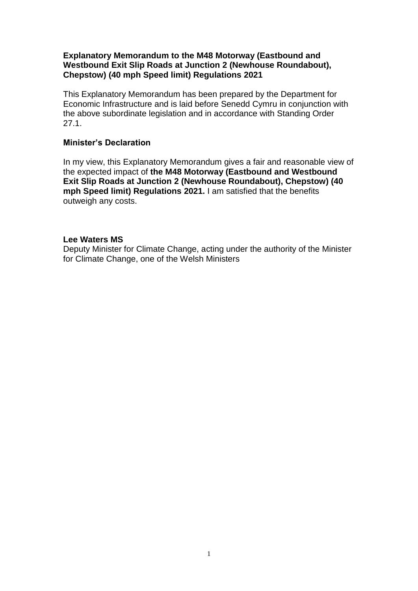### **Explanatory Memorandum to the M48 Motorway (Eastbound and Westbound Exit Slip Roads at Junction 2 (Newhouse Roundabout), Chepstow) (40 mph Speed limit) Regulations 2021**

This Explanatory Memorandum has been prepared by the Department for Economic Infrastructure and is laid before Senedd Cymru in conjunction with the above subordinate legislation and in accordance with Standing Order 27.1.

### **Minister's Declaration**

In my view, this Explanatory Memorandum gives a fair and reasonable view of the expected impact of **the M48 Motorway (Eastbound and Westbound Exit Slip Roads at Junction 2 (Newhouse Roundabout), Chepstow) (40 mph Speed limit) Regulations 2021.** I am satisfied that the benefits outweigh any costs.

#### **Lee Waters MS**

Deputy Minister for Climate Change, acting under the authority of the Minister for Climate Change, one of the Welsh Ministers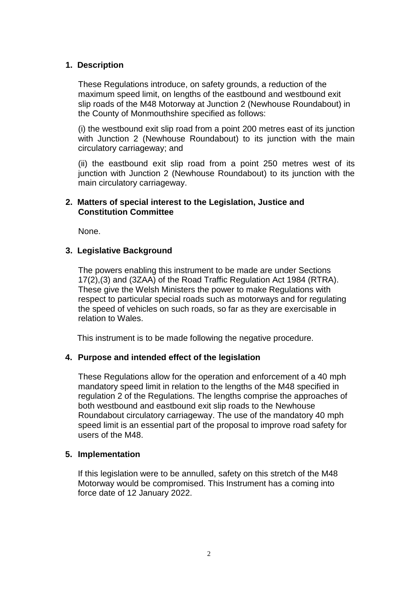### **1. Description**

These Regulations introduce, on safety grounds, a reduction of the maximum speed limit, on lengths of the eastbound and westbound exit slip roads of the M48 Motorway at Junction 2 (Newhouse Roundabout) in the County of Monmouthshire specified as follows:

(i) the westbound exit slip road from a point 200 metres east of its junction with Junction 2 (Newhouse Roundabout) to its junction with the main circulatory carriageway; and

(ii) the eastbound exit slip road from a point 250 metres west of its junction with Junction 2 (Newhouse Roundabout) to its junction with the main circulatory carriageway.

### **2. Matters of special interest to the Legislation, Justice and Constitution Committee**

None.

### **3. Legislative Background**

The powers enabling this instrument to be made are under Sections 17(2),(3) and (3ZAA) of the Road Traffic Regulation Act 1984 (RTRA). These give the Welsh Ministers the power to make Regulations with respect to particular special roads such as motorways and for regulating the speed of vehicles on such roads, so far as they are exercisable in relation to Wales.

This instrument is to be made following the negative procedure.

### **4. Purpose and intended effect of the legislation**

These Regulations allow for the operation and enforcement of a 40 mph mandatory speed limit in relation to the lengths of the M48 specified in regulation 2 of the Regulations. The lengths comprise the approaches of both westbound and eastbound exit slip roads to the Newhouse Roundabout circulatory carriageway. The use of the mandatory 40 mph speed limit is an essential part of the proposal to improve road safety for users of the M48.

### **5. Implementation**

If this legislation were to be annulled, safety on this stretch of the M48 Motorway would be compromised. This Instrument has a coming into force date of 12 January 2022.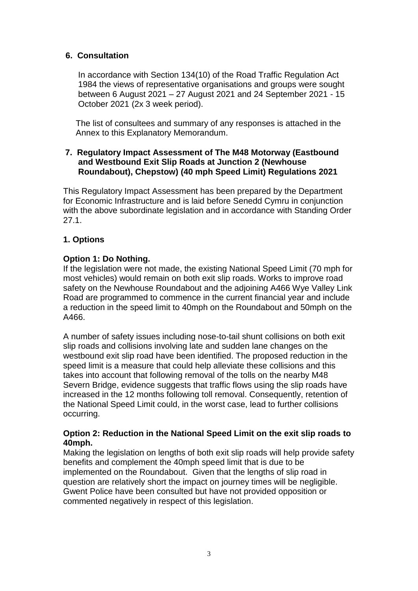### **6. Consultation**

In accordance with Section 134(10) of the Road Traffic Regulation Act 1984 the views of representative organisations and groups were sought between 6 August 2021 – 27 August 2021 and 24 September 2021 - 15 October 2021 (2x 3 week period).

The list of consultees and summary of any responses is attached in the Annex to this Explanatory Memorandum.

### **7. Regulatory Impact Assessment of The M48 Motorway (Eastbound and Westbound Exit Slip Roads at Junction 2 (Newhouse Roundabout), Chepstow) (40 mph Speed Limit) Regulations 2021**

This Regulatory Impact Assessment has been prepared by the Department for Economic Infrastructure and is laid before Senedd Cymru in conjunction with the above subordinate legislation and in accordance with Standing Order 27.1.

### **1. Options**

### **Option 1: Do Nothing.**

If the legislation were not made, the existing National Speed Limit (70 mph for most vehicles) would remain on both exit slip roads. Works to improve road safety on the Newhouse Roundabout and the adjoining A466 Wye Valley Link Road are programmed to commence in the current financial year and include a reduction in the speed limit to 40mph on the Roundabout and 50mph on the A466.

A number of safety issues including nose-to-tail shunt collisions on both exit slip roads and collisions involving late and sudden lane changes on the westbound exit slip road have been identified. The proposed reduction in the speed limit is a measure that could help alleviate these collisions and this takes into account that following removal of the tolls on the nearby M48 Severn Bridge, evidence suggests that traffic flows using the slip roads have increased in the 12 months following toll removal. Consequently, retention of the National Speed Limit could, in the worst case, lead to further collisions occurring.

### **Option 2: Reduction in the National Speed Limit on the exit slip roads to 40mph.**

Making the legislation on lengths of both exit slip roads will help provide safety benefits and complement the 40mph speed limit that is due to be implemented on the Roundabout. Given that the lengths of slip road in question are relatively short the impact on journey times will be negligible. Gwent Police have been consulted but have not provided opposition or commented negatively in respect of this legislation.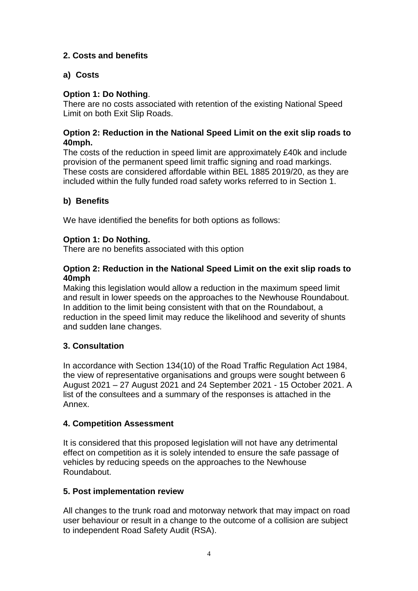### **2. Costs and benefits**

### **a) Costs**

### **Option 1: Do Nothing**.

There are no costs associated with retention of the existing National Speed Limit on both Exit Slip Roads.

### **Option 2: Reduction in the National Speed Limit on the exit slip roads to 40mph.**

The costs of the reduction in speed limit are approximately £40k and include provision of the permanent speed limit traffic signing and road markings. These costs are considered affordable within BEL 1885 2019/20, as they are included within the fully funded road safety works referred to in Section 1.

# **b) Benefits**

We have identified the benefits for both options as follows:

### **Option 1: Do Nothing.**

There are no benefits associated with this option

### **Option 2: Reduction in the National Speed Limit on the exit slip roads to 40mph**

Making this legislation would allow a reduction in the maximum speed limit and result in lower speeds on the approaches to the Newhouse Roundabout. In addition to the limit being consistent with that on the Roundabout, a reduction in the speed limit may reduce the likelihood and severity of shunts and sudden lane changes.

### **3. Consultation**

In accordance with Section 134(10) of the Road Traffic Regulation Act 1984, the view of representative organisations and groups were sought between 6 August 2021 – 27 August 2021 and 24 September 2021 - 15 October 2021. A list of the consultees and a summary of the responses is attached in the Annex.

### **4. Competition Assessment**

It is considered that this proposed legislation will not have any detrimental effect on competition as it is solely intended to ensure the safe passage of vehicles by reducing speeds on the approaches to the Newhouse Roundabout.

### **5. Post implementation review**

All changes to the trunk road and motorway network that may impact on road user behaviour or result in a change to the outcome of a collision are subject to independent Road Safety Audit (RSA).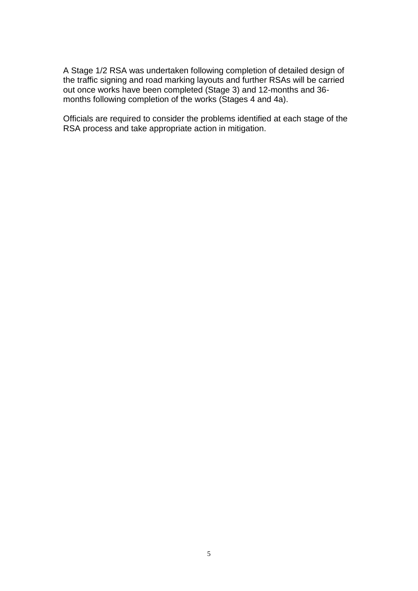A Stage 1/2 RSA was undertaken following completion of detailed design of the traffic signing and road marking layouts and further RSAs will be carried out once works have been completed (Stage 3) and 12-months and 36 months following completion of the works (Stages 4 and 4a).

Officials are required to consider the problems identified at each stage of the RSA process and take appropriate action in mitigation.